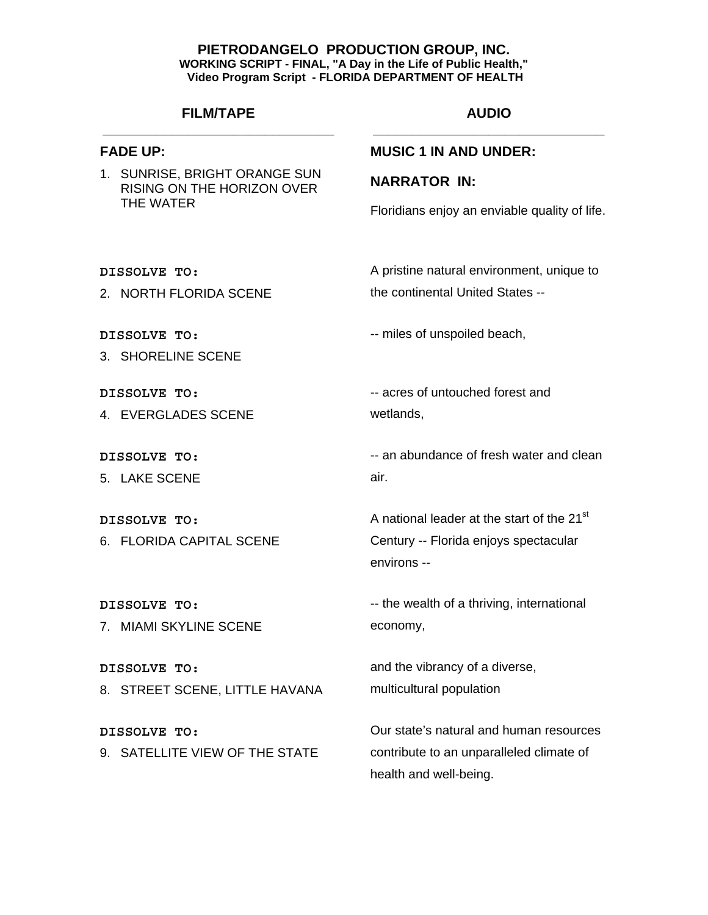# **FILM/TAPE \_\_\_\_\_\_\_\_\_\_\_\_\_\_\_\_\_\_\_\_\_\_\_\_\_\_\_\_\_\_**

## **FADE UP:**

1. SUNRISE, BRIGHT ORANGE SUN RISING ON THE HORIZON OVER THE WATER

# **AUDIO \_\_\_\_\_\_\_\_\_\_\_\_\_\_\_\_\_\_\_\_\_\_\_\_\_\_\_\_\_\_**

## **MUSIC 1 IN AND UNDER:**

### **NARRATOR IN:**

Floridians enjoy an enviable quality of life.

**DISSOLVE TO:** 

2. NORTH FLORIDA SCENE

**DISSOLVE TO:** 

3. SHORELINE SCENE

**DISSOLVE TO:** 

4. EVERGLADES SCENE

**DISSOLVE TO:** 

5. LAKE SCENE

**DISSOLVE TO:**  6. FLORIDA CAPITAL SCENE

**DISSOLVE TO:**  7. MIAMI SKYLINE SCENE

**DISSOLVE TO:**  8. STREET SCENE, LITTLE HAVANA

**DISSOLVE TO:**  9. SATELLITE VIEW OF THE STATE the continental United States --

A pristine natural environment, unique to

-- miles of unspoiled beach,

-- acres of untouched forest and wetlands,

-- an abundance of fresh water and clean air.

A national leader at the start of the 21<sup>st</sup> Century -- Florida enjoys spectacular environs --

-- the wealth of a thriving, international economy,

and the vibrancy of a diverse, multicultural population

Our state's natural and human resources contribute to an unparalleled climate of health and well-being.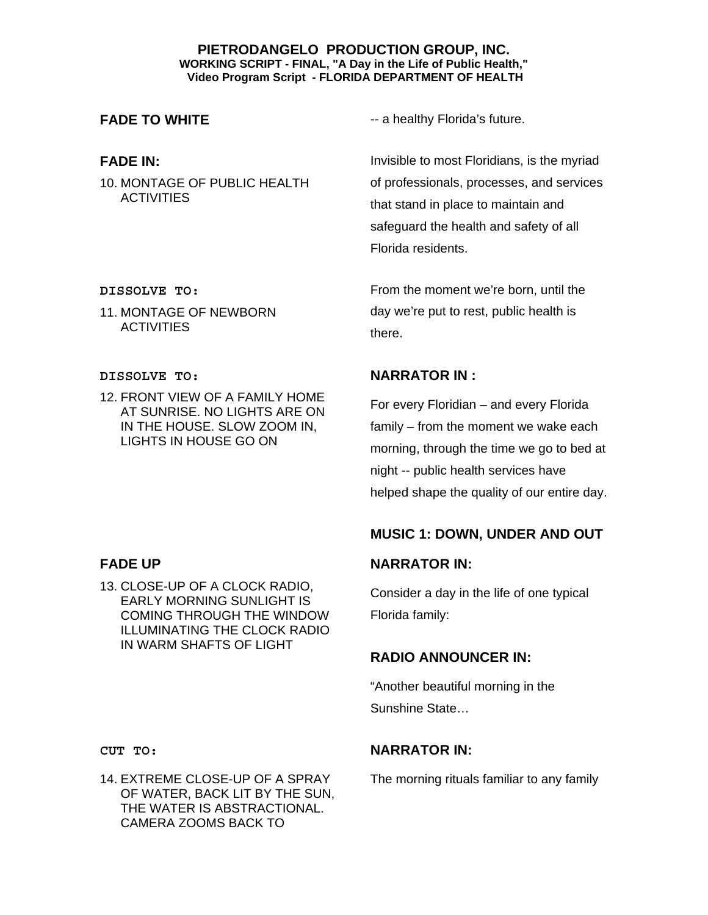# **FADE IN:**

10. MONTAGE OF PUBLIC HEALTH **ACTIVITIES** 

**FADE TO WHITE Alternative State of the STADE TO WHITE --** a healthy Florida's future.

Invisible to most Floridians, is the myriad of professionals, processes, and services that stand in place to maintain and safeguard the health and safety of all Florida residents.

From the moment we're born, until the day we're put to rest, public health is there.

# **NARRATOR IN :**

For every Floridian – and every Florida family – from the moment we wake each morning, through the time we go to bed at night -- public health services have helped shape the quality of our entire day.

# **MUSIC 1: DOWN, UNDER AND OUT**

# **NARRATOR IN:**

Consider a day in the life of one typical Florida family:

# **RADIO ANNOUNCER IN:**

"Another beautiful morning in the Sunshine State…

# **NARRATOR IN:**

The morning rituals familiar to any family

### **DISSOLVE TO:**

11. MONTAGE OF NEWBORN **ACTIVITIES** 

### **DISSOLVE TO:**

12. FRONT VIEW OF A FAMILY HOME AT SUNRISE. NO LIGHTS ARE ON IN THE HOUSE. SLOW ZOOM IN, LIGHTS IN HOUSE GO ON

# **FADE UP**

13. CLOSE-UP OF A CLOCK RADIO, EARLY MORNING SUNLIGHT IS COMING THROUGH THE WINDOW ILLUMINATING THE CLOCK RADIO IN WARM SHAFTS OF LIGHT

**CUT TO:** 

14. EXTREME CLOSE-UP OF A SPRAY OF WATER, BACK LIT BY THE SUN, THE WATER IS ABSTRACTIONAL. CAMERA ZOOMS BACK TO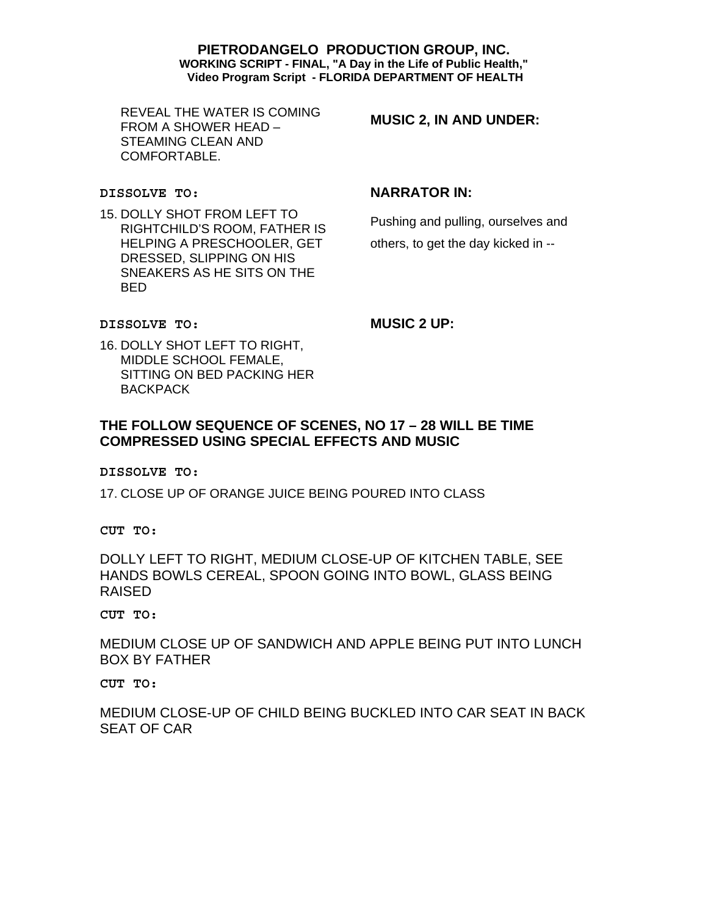REVEAL THE WATER IS COMING FROM A SHOWER HEAD – STEAMING CLEAN AND COMFORTABLE.

**MUSIC 2, IN AND UNDER:** 

#### **DISSOLVE TO:**

15. DOLLY SHOT FROM LEFT TO RIGHTCHILD'S ROOM, FATHER IS HELPING A PRESCHOOLER, GET DRESSED, SLIPPING ON HIS SNEAKERS AS HE SITS ON THE BED

# **NARRATOR IN:**

Pushing and pulling, ourselves and others, to get the day kicked in --

#### **DISSOLVE TO:**

**MUSIC 2 UP:** 

16. DOLLY SHOT LEFT TO RIGHT, MIDDLE SCHOOL FEMALE, SITTING ON BED PACKING HER **BACKPACK** 

# **THE FOLLOW SEQUENCE OF SCENES, NO 17 – 28 WILL BE TIME COMPRESSED USING SPECIAL EFFECTS AND MUSIC**

#### **DISSOLVE TO:**

17. CLOSE UP OF ORANGE JUICE BEING POURED INTO CLASS

**CUT TO:** 

DOLLY LEFT TO RIGHT, MEDIUM CLOSE-UP OF KITCHEN TABLE, SEE HANDS BOWLS CEREAL, SPOON GOING INTO BOWL, GLASS BEING RAISED

#### **CUT TO:**

MEDIUM CLOSE UP OF SANDWICH AND APPLE BEING PUT INTO LUNCH BOX BY FATHER

**CUT TO:** 

MEDIUM CLOSE-UP OF CHILD BEING BUCKLED INTO CAR SEAT IN BACK SEAT OF CAR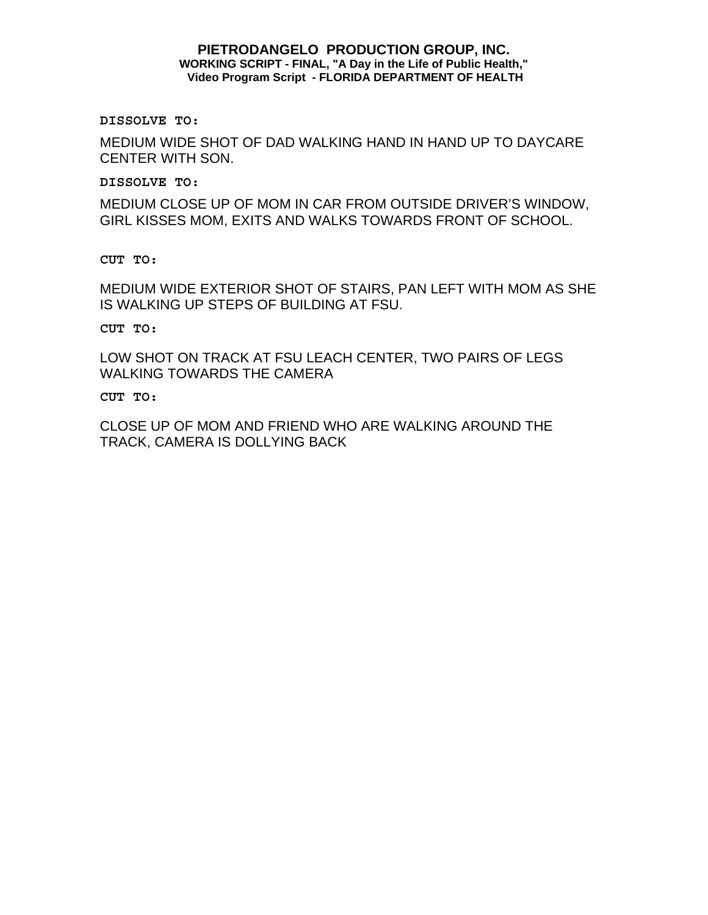**DISSOLVE TO:** 

MEDIUM WIDE SHOT OF DAD WALKING HAND IN HAND UP TO DAYCARE CENTER WITH SON.

**DISSOLVE TO:** 

MEDIUM CLOSE UP OF MOM IN CAR FROM OUTSIDE DRIVER'S WINDOW, GIRL KISSES MOM, EXITS AND WALKS TOWARDS FRONT OF SCHOOL.

**CUT TO:** 

MEDIUM WIDE EXTERIOR SHOT OF STAIRS, PAN LEFT WITH MOM AS SHE IS WALKING UP STEPS OF BUILDING AT FSU.

**CUT TO:** 

LOW SHOT ON TRACK AT FSU LEACH CENTER, TWO PAIRS OF LEGS WALKING TOWARDS THE CAMERA

**CUT TO:** 

CLOSE UP OF MOM AND FRIEND WHO ARE WALKING AROUND THE TRACK, CAMERA IS DOLLYING BACK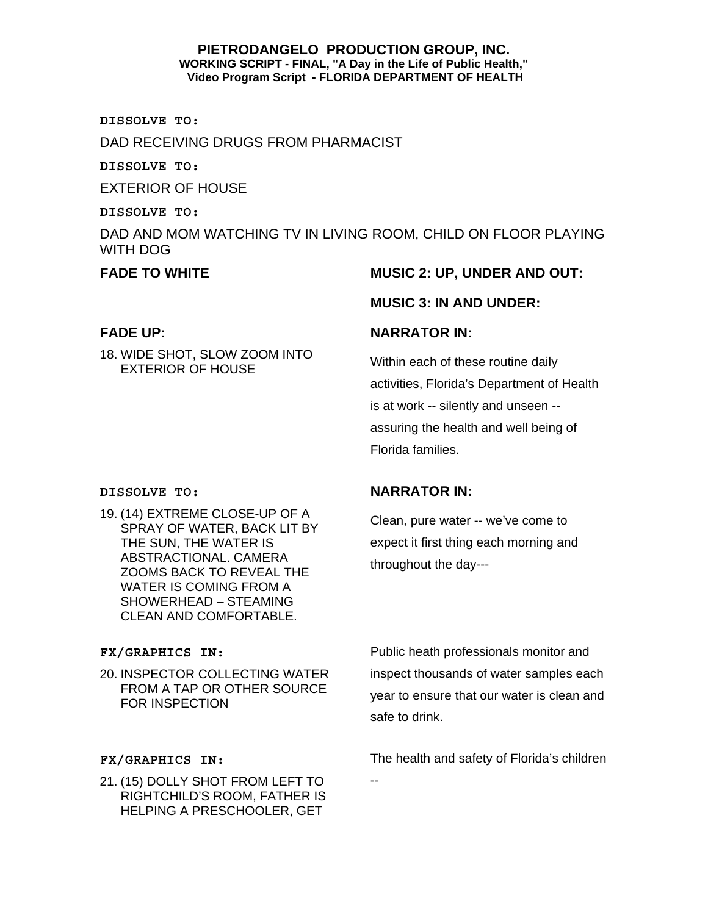**DISSOLVE TO:** 

DAD RECEIVING DRUGS FROM PHARMACIST

**DISSOLVE TO:** 

EXTERIOR OF HOUSE

**DISSOLVE TO:** 

DAD AND MOM WATCHING TV IN LIVING ROOM, CHILD ON FLOOR PLAYING WITH DOG

# **FADE UP:**

18. WIDE SHOT, SLOW ZOOM INTO EXTERIOR OF HOUSE

# FADE TO WHITE **MUSIC 2: UP, UNDER AND OUT:**

# **MUSIC 3: IN AND UNDER:**

# **NARRATOR IN:**

**NARRATOR IN:** 

throughout the day---

Within each of these routine daily activities, Florida's Department of Health is at work -- silently and unseen - assuring the health and well being of Florida families.

Clean, pure water -- we've come to expect it first thing each morning and

### **DISSOLVE TO:**

19. (14) EXTREME CLOSE-UP OF A SPRAY OF WATER, BACK LIT BY THE SUN, THE WATER IS ABSTRACTIONAL. CAMERA ZOOMS BACK TO REVEAL THE WATER IS COMING FROM A SHOWERHEAD – STEAMING CLEAN AND COMFORTABLE.

# **FX/GRAPHICS IN:**

20. INSPECTOR COLLECTING WATER FROM A TAP OR OTHER SOURCE FOR INSPECTION

Public heath professionals monitor and inspect thousands of water samples each year to ensure that our water is clean and safe to drink.

### **FX/GRAPHICS IN:**

21. (15) DOLLY SHOT FROM LEFT TO RIGHTCHILD'S ROOM, FATHER IS HELPING A PRESCHOOLER, GET

The health and safety of Florida's children

--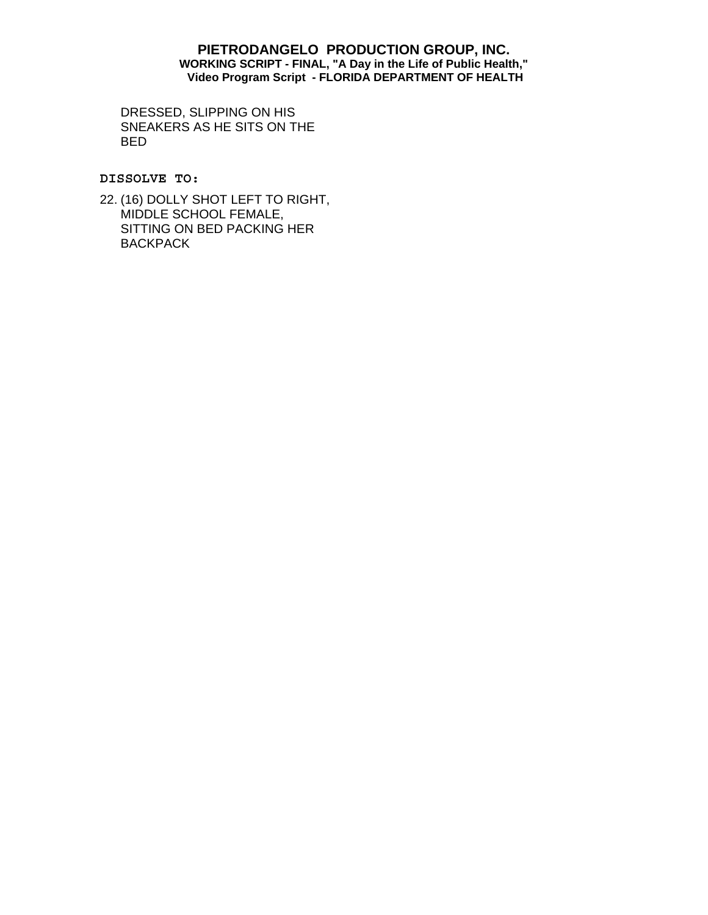DRESSED, SLIPPING ON HIS SNEAKERS AS HE SITS ON THE BED

**DISSOLVE TO:** 

22. (16) DOLLY SHOT LEFT TO RIGHT, MIDDLE SCHOOL FEMALE, SITTING ON BED PACKING HER **BACKPACK**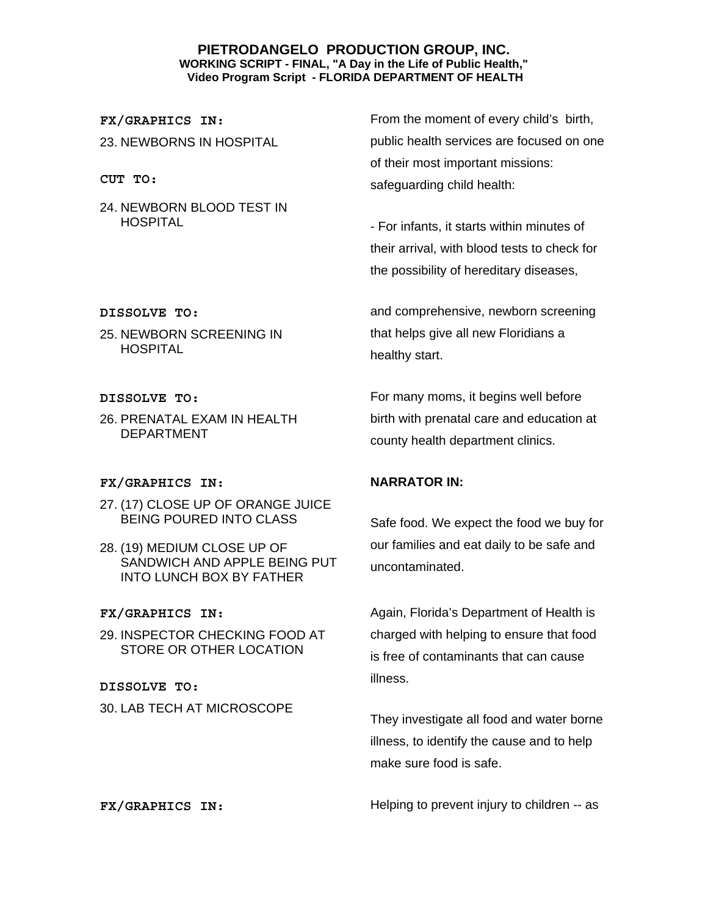**FX/GRAPHICS IN:** 23. NEWBORNS IN HOSPITAL

**CUT TO:** 

24. NEWBORN BLOOD TEST IN **HOSPITAL** 

From the moment of every child's birth, public health services are focused on one of their most important missions: safeguarding child health:

- For infants, it starts within minutes of their arrival, with blood tests to check for the possibility of hereditary diseases,

and comprehensive, newborn screening that helps give all new Floridians a healthy start.

For many moms, it begins well before birth with prenatal care and education at county health department clinics.

# **NARRATOR IN:**

Safe food. We expect the food we buy for our families and eat daily to be safe and uncontaminated.

Again, Florida's Department of Health is charged with helping to ensure that food is free of contaminants that can cause illness.

They investigate all food and water borne illness, to identify the cause and to help make sure food is safe.

**FX/GRAPHICS IN:** Helping to prevent injury to children -- as

#### **DISSOLVE TO:**

25. NEWBORN SCREENING IN HOSPITAL

#### **DISSOLVE TO:**

26. PRENATAL EXAM IN HEALTH DEPARTMENT

### **FX/GRAPHICS IN:**

- 27. (17) CLOSE UP OF ORANGE JUICE BEING POURED INTO CLASS
- 28. (19) MEDIUM CLOSE UP OF SANDWICH AND APPLE BEING PUT INTO LUNCH BOX BY FATHER

### **FX/GRAPHICS IN:**

29. INSPECTOR CHECKING FOOD AT STORE OR OTHER LOCATION

**DISSOLVE TO:**  30. LAB TECH AT MICROSCOPE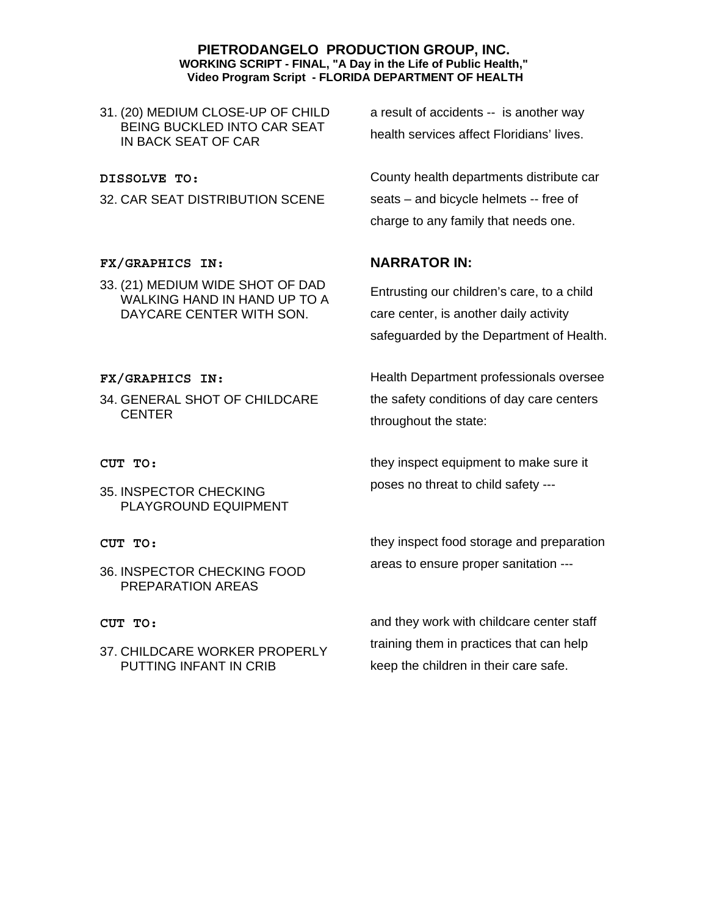31. (20) MEDIUM CLOSE-UP OF CHILD BEING BUCKLED INTO CAR SEAT IN BACK SEAT OF CAR

**DISSOLVE TO:** 

32. CAR SEAT DISTRIBUTION SCENE

**FX/GRAPHICS IN:**

33. (21) MEDIUM WIDE SHOT OF DAD WALKING HAND IN HAND UP TO A DAYCARE CENTER WITH SON.

**FX/GRAPHICS IN:**

34. GENERAL SHOT OF CHILDCARE CENTER

**CUT TO:** 

- 35. INSPECTOR CHECKING PLAYGROUND EQUIPMENT
- **CUT TO:**
- 36. INSPECTOR CHECKING FOOD PREPARATION AREAS

#### **CUT TO:**

37. CHILDCARE WORKER PROPERLY PUTTING INFANT IN CRIB

a result of accidents -- is another way health services affect Floridians' lives.

County health departments distribute car seats – and bicycle helmets -- free of charge to any family that needs one.

## **NARRATOR IN:**

Entrusting our children's care, to a child care center, is another daily activity safeguarded by the Department of Health.

Health Department professionals oversee the safety conditions of day care centers throughout the state:

they inspect equipment to make sure it poses no threat to child safety ---

they inspect food storage and preparation areas to ensure proper sanitation ---

and they work with childcare center staff training them in practices that can help keep the children in their care safe.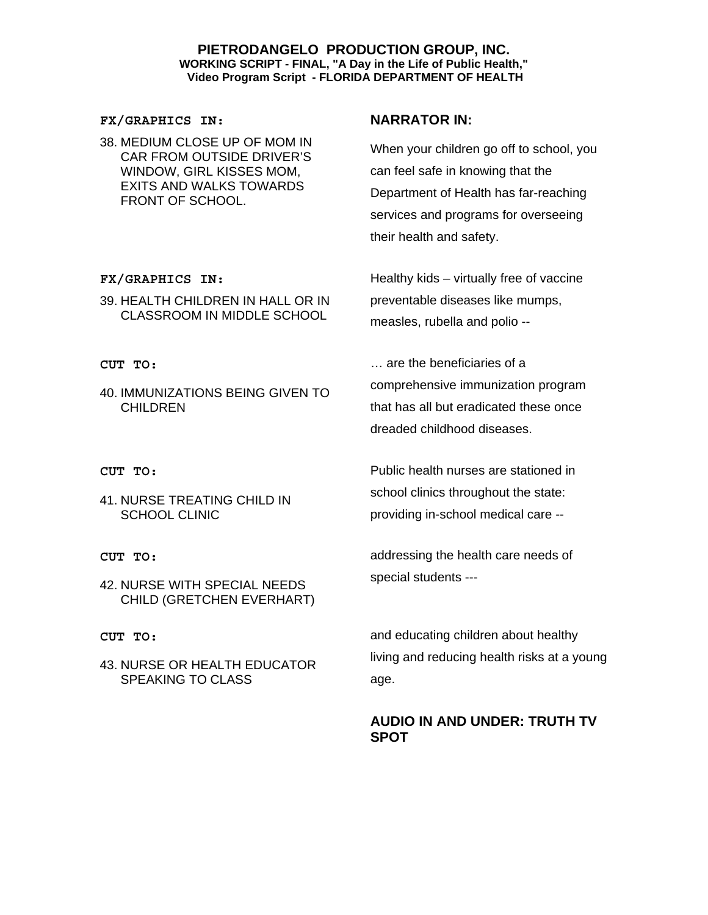#### **FX/GRAPHICS IN:**

38. MEDIUM CLOSE UP OF MOM IN CAR FROM OUTSIDE DRIVER'S WINDOW, GIRL KISSES MOM, EXITS AND WALKS TOWARDS FRONT OF SCHOOL.

## **FX/GRAPHICS IN:**

39. HEALTH CHILDREN IN HALL OR IN CLASSROOM IN MIDDLE SCHOOL

### **CUT TO:**

40. IMMUNIZATIONS BEING GIVEN TO CHILDREN

#### **CUT TO:**

41. NURSE TREATING CHILD IN SCHOOL CLINIC

#### **CUT TO:**

42. NURSE WITH SPECIAL NEEDS CHILD (GRETCHEN EVERHART)

#### **CUT TO:**

43. NURSE OR HEALTH EDUCATOR SPEAKING TO CLASS

## **NARRATOR IN:**

When your children go off to school, you can feel safe in knowing that the Department of Health has far-reaching services and programs for overseeing their health and safety.

Healthy kids – virtually free of vaccine preventable diseases like mumps, measles, rubella and polio --

… are the beneficiaries of a comprehensive immunization program that has all but eradicated these once dreaded childhood diseases.

Public health nurses are stationed in school clinics throughout the state: providing in-school medical care --

addressing the health care needs of special students ---

and educating children about healthy living and reducing health risks at a young age.

# **AUDIO IN AND UNDER: TRUTH TV SPOT**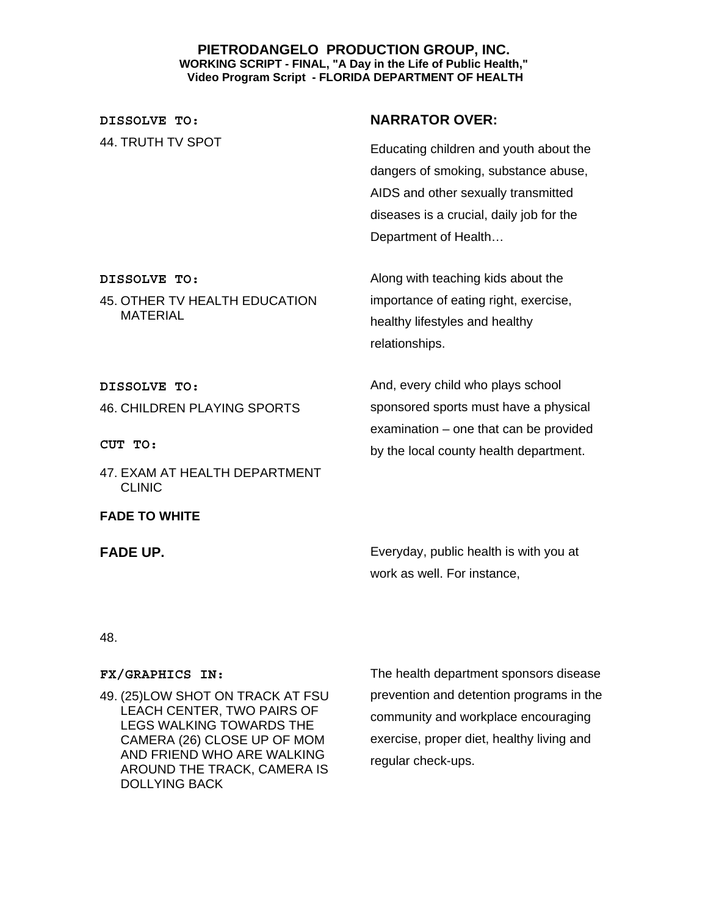**DISSOLVE TO:**  44. TRUTH TV SPOT

# **NARRATOR OVER:**

Educating children and youth about the dangers of smoking, substance abuse, AIDS and other sexually transmitted diseases is a crucial, daily job for the Department of Health…

Along with teaching kids about the importance of eating right, exercise, healthy lifestyles and healthy relationships.

And, every child who plays school sponsored sports must have a physical examination – one that can be provided by the local county health department.

**DISSOLVE TO:** 

**DISSOLVE TO:** 

MATERIAL

46. CHILDREN PLAYING SPORTS

45. OTHER TV HEALTH EDUCATION

**CUT TO:** 

47. EXAM AT HEALTH DEPARTMENT CLINIC

**FADE TO WHITE** 

**FADE UP. Exery FADE UP. Exery FADE UP. Exery FADE UP. EXERCISE EXERCISE I** work as well. For instance,

### 48.

### **FX/GRAPHICS IN:**

49. (25)LOW SHOT ON TRACK AT FSU LEACH CENTER, TWO PAIRS OF LEGS WALKING TOWARDS THE CAMERA (26) CLOSE UP OF MOM AND FRIEND WHO ARE WALKING AROUND THE TRACK, CAMERA IS DOLLYING BACK

The health department sponsors disease prevention and detention programs in the community and workplace encouraging exercise, proper diet, healthy living and regular check-ups.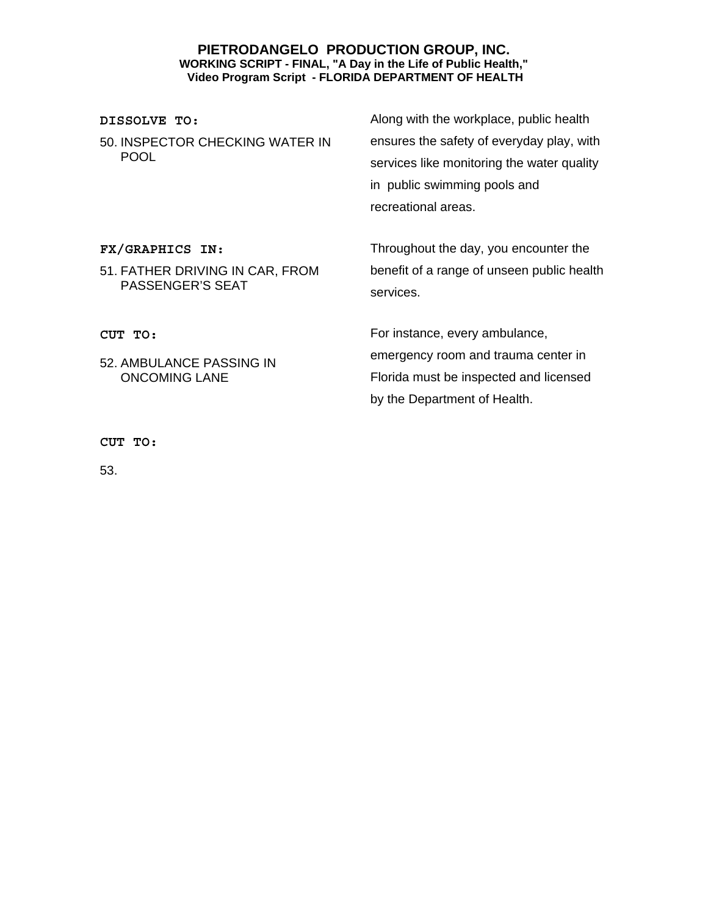### **DISSOLVE TO:**

50. INSPECTOR CHECKING WATER IN POOL

Along with the workplace, public health ensures the safety of everyday play, with services like monitoring the water quality in public swimming pools and recreational areas.

**FX/GRAPHICS IN:**

51. FATHER DRIVING IN CAR, FROM PASSENGER'S SEAT

52. AMBULANCE PASSING IN ONCOMING LANE

Throughout the day, you encounter the benefit of a range of unseen public health services.

For instance, every ambulance, emergency room and trauma center in Florida must be inspected and licensed by the Department of Health.

**CUT TO:** 

**CUT TO:** 

53.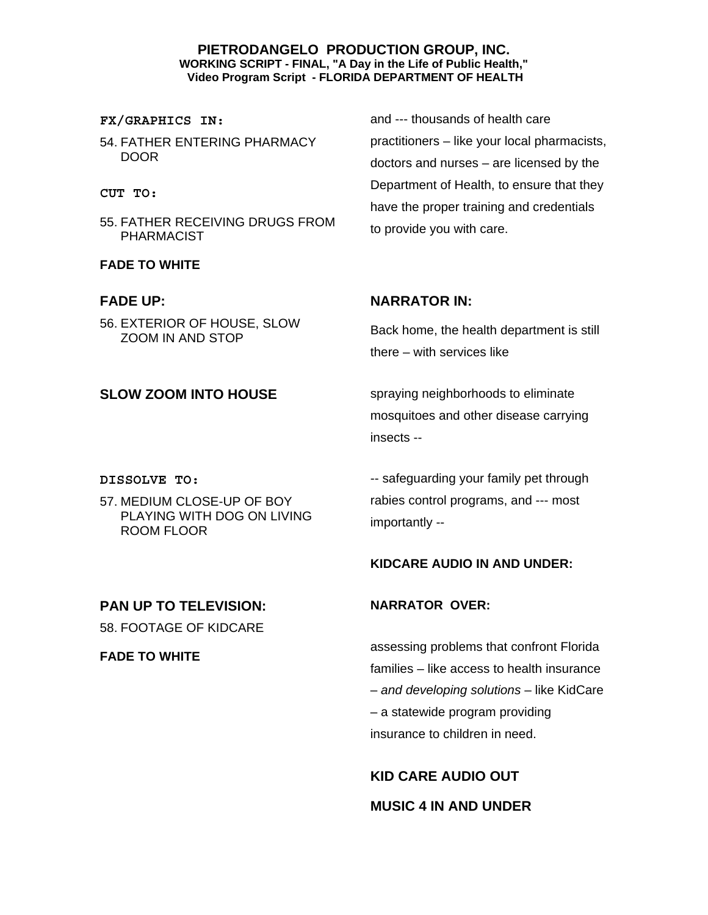### **FX/GRAPHICS IN:**

54. FATHER ENTERING PHARMACY DOOR

#### **CUT TO:**

55. FATHER RECEIVING DRUGS FROM PHARMACIST

### **FADE TO WHITE**

### **FADE UP:**

56. EXTERIOR OF HOUSE, SLOW ZOOM IN AND STOP

#### **DISSOLVE TO:**

57. MEDIUM CLOSE-UP OF BOY PLAYING WITH DOG ON LIVING ROOM FLOOR

## **PAN UP TO TELEVISION:**

58. FOOTAGE OF KIDCARE

**FADE TO WHITE** 

and --- thousands of health care practitioners – like your local pharmacists, doctors and nurses – are licensed by the Department of Health, to ensure that they have the proper training and credentials to provide you with care.

## **NARRATOR IN:**

Back home, the health department is still there – with services like

**SLOW ZOOM INTO HOUSE** spraying neighborhoods to eliminate mosquitoes and other disease carrying insects --

> -- safeguarding your family pet through rabies control programs, and --- most importantly --

### **KIDCARE AUDIO IN AND UNDER:**

### **NARRATOR OVER:**

assessing problems that confront Florida families – like access to health insurance – *and developing solutions* – like KidCare – a statewide program providing insurance to children in need.

**KID CARE AUDIO OUT MUSIC 4 IN AND UNDER**